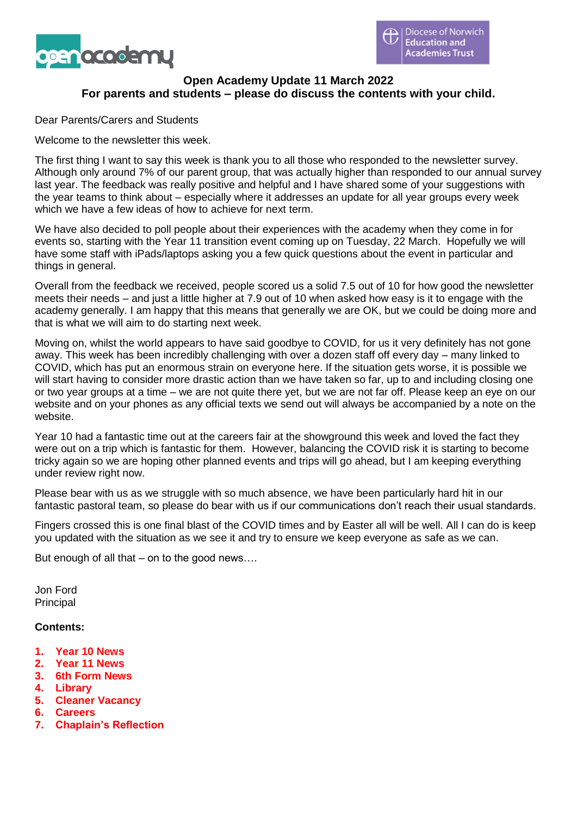

# **Open Academy Update 11 March 2022 For parents and students – please do discuss the contents with your child.**

Dear Parents/Carers and Students

Welcome to the newsletter this week.

The first thing I want to say this week is thank you to all those who responded to the newsletter survey. Although only around 7% of our parent group, that was actually higher than responded to our annual survey last year. The feedback was really positive and helpful and I have shared some of your suggestions with the year teams to think about – especially where it addresses an update for all year groups every week which we have a few ideas of how to achieve for next term.

We have also decided to poll people about their experiences with the academy when they come in for events so, starting with the Year 11 transition event coming up on Tuesday, 22 March. Hopefully we will have some staff with iPads/laptops asking you a few quick questions about the event in particular and things in general.

Overall from the feedback we received, people scored us a solid 7.5 out of 10 for how good the newsletter meets their needs – and just a little higher at 7.9 out of 10 when asked how easy is it to engage with the academy generally. I am happy that this means that generally we are OK, but we could be doing more and that is what we will aim to do starting next week.

Moving on, whilst the world appears to have said goodbye to COVID, for us it very definitely has not gone away. This week has been incredibly challenging with over a dozen staff off every day – many linked to COVID, which has put an enormous strain on everyone here. If the situation gets worse, it is possible we will start having to consider more drastic action than we have taken so far, up to and including closing one or two year groups at a time – we are not quite there yet, but we are not far off. Please keep an eye on our website and on your phones as any official texts we send out will always be accompanied by a note on the website.

Year 10 had a fantastic time out at the careers fair at the showground this week and loved the fact they were out on a trip which is fantastic for them. However, balancing the COVID risk it is starting to become tricky again so we are hoping other planned events and trips will go ahead, but I am keeping everything under review right now.

Please bear with us as we struggle with so much absence, we have been particularly hard hit in our fantastic pastoral team, so please do bear with us if our communications don't reach their usual standards.

Fingers crossed this is one final blast of the COVID times and by Easter all will be well. All I can do is keep you updated with the situation as we see it and try to ensure we keep everyone as safe as we can.

But enough of all that – on to the good news….

Jon Ford Principal

#### **Contents:**

- **1. Year 10 News**
- **2. Year 11 News**
- **3. 6th Form News**
- **4. Library**
- **5. Cleaner Vacancy**
- **6. Careers**
- **7. Chaplain's Reflection**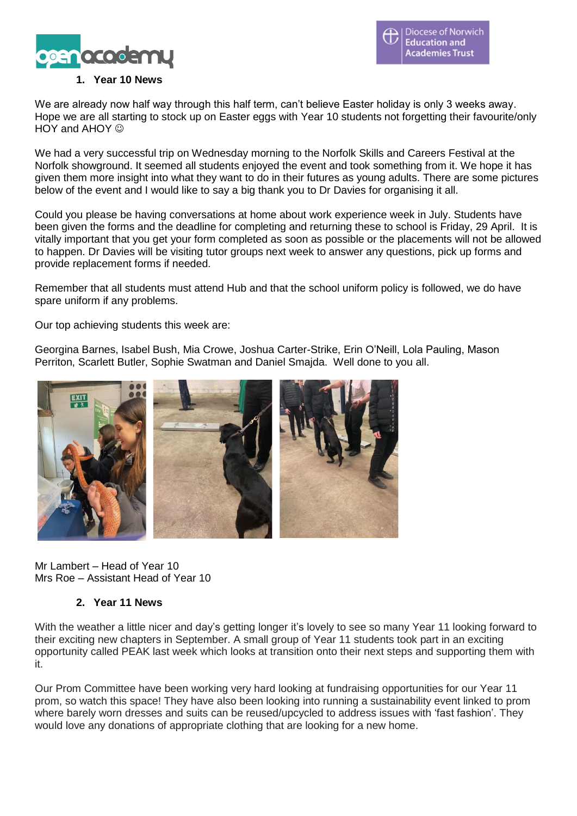

### **1. Year 10 News**

We are already now half way through this half term, can't believe Easter holiday is only 3 weeks away. Hope we are all starting to stock up on Easter eggs with Year 10 students not forgetting their favourite/only  $HOY$  and  $AHOY$   $\odot$ 

We had a very successful trip on Wednesday morning to the Norfolk Skills and Careers Festival at the Norfolk showground. It seemed all students enjoyed the event and took something from it. We hope it has given them more insight into what they want to do in their futures as young adults. There are some pictures below of the event and I would like to say a big thank you to Dr Davies for organising it all.

Could you please be having conversations at home about work experience week in July. Students have been given the forms and the deadline for completing and returning these to school is Friday, 29 April. It is vitally important that you get your form completed as soon as possible or the placements will not be allowed to happen. Dr Davies will be visiting tutor groups next week to answer any questions, pick up forms and provide replacement forms if needed.

Remember that all students must attend Hub and that the school uniform policy is followed, we do have spare uniform if any problems.

Our top achieving students this week are:

Georgina Barnes, Isabel Bush, Mia Crowe, Joshua Carter-Strike, Erin O'Neill, Lola Pauling, Mason Perriton, Scarlett Butler, Sophie Swatman and Daniel Smajda. Well done to you all.



Mr Lambert – Head of Year 10 Mrs Roe – Assistant Head of Year 10

## **2. Year 11 News**

With the weather a little nicer and day's getting longer it's lovely to see so many Year 11 looking forward to their exciting new chapters in September. A small group of Year 11 students took part in an exciting opportunity called PEAK last week which looks at transition onto their next steps and supporting them with it.

Our Prom Committee have been working very hard looking at fundraising opportunities for our Year 11 prom, so watch this space! They have also been looking into running a sustainability event linked to prom where barely worn dresses and suits can be reused/upcycled to address issues with 'fast fashion'. They would love any donations of appropriate clothing that are looking for a new home.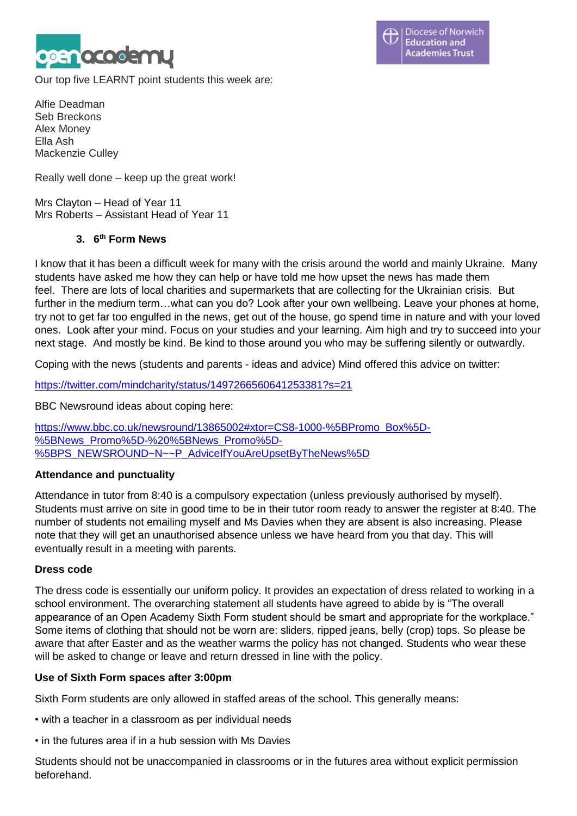

Our top five LEARNT point students this week are:

Alfie Deadman Seb Breckons Alex Money Ella Ash Mackenzie Culley

Really well done – keep up the great work!

Mrs Clayton – Head of Year 11 Mrs Roberts – Assistant Head of Year 11

## **3. 6 th Form News**

I know that it has been a difficult week for many with the crisis around the world and mainly Ukraine. Many students have asked me how they can help or have told me how upset the news has made them feel. There are lots of local charities and supermarkets that are collecting for the Ukrainian crisis. But further in the medium term...what can you do? Look after your own wellbeing. Leave your phones at home, try not to get far too engulfed in the news, get out of the house, go spend time in nature and with your loved ones. Look after your mind. Focus on your studies and your learning. Aim high and try to succeed into your next stage. And mostly be kind. Be kind to those around you who may be suffering silently or outwardly.

Coping with the news (students and parents - ideas and advice) Mind offered this advice on twitter:

<https://twitter.com/mindcharity/status/1497266560641253381?s=21>

BBC Newsround ideas about coping here:

[https://www.bbc.co.uk/newsround/13865002#xtor=CS8-1000-%5BPromo\\_Box%5D-](https://www.bbc.co.uk/newsround/13865002#xtor=CS8-1000-%5BPromo_Box%5D-%5BNews_Promo%5D-%20%5BNews_Promo%5D-%5BPS_NEWSROUND~N~~P_AdviceIfYouAreUpsetByTheNews%5D) [%5BNews\\_Promo%5D-%20%5BNews\\_Promo%5D-](https://www.bbc.co.uk/newsround/13865002#xtor=CS8-1000-%5BPromo_Box%5D-%5BNews_Promo%5D-%20%5BNews_Promo%5D-%5BPS_NEWSROUND~N~~P_AdviceIfYouAreUpsetByTheNews%5D) [%5BPS\\_NEWSROUND~N~~P\\_AdviceIfYouAreUpsetByTheNews%5D](https://www.bbc.co.uk/newsround/13865002#xtor=CS8-1000-%5BPromo_Box%5D-%5BNews_Promo%5D-%20%5BNews_Promo%5D-%5BPS_NEWSROUND~N~~P_AdviceIfYouAreUpsetByTheNews%5D)

## **Attendance and punctuality**

Attendance in tutor from 8:40 is a compulsory expectation (unless previously authorised by myself). Students must arrive on site in good time to be in their tutor room ready to answer the register at 8:40. The number of students not emailing myself and Ms Davies when they are absent is also increasing. Please note that they will get an unauthorised absence unless we have heard from you that day. This will eventually result in a meeting with parents.

## **Dress code**

The dress code is essentially our uniform policy. It provides an expectation of dress related to working in a school environment. The overarching statement all students have agreed to abide by is "The overall appearance of an Open Academy Sixth Form student should be smart and appropriate for the workplace." Some items of clothing that should not be worn are: sliders, ripped jeans, belly (crop) tops. So please be aware that after Easter and as the weather warms the policy has not changed. Students who wear these will be asked to change or leave and return dressed in line with the policy.

## **Use of Sixth Form spaces after 3:00pm**

Sixth Form students are only allowed in staffed areas of the school. This generally means:

- with a teacher in a classroom as per individual needs
- in the futures area if in a hub session with Ms Davies

Students should not be unaccompanied in classrooms or in the futures area without explicit permission beforehand.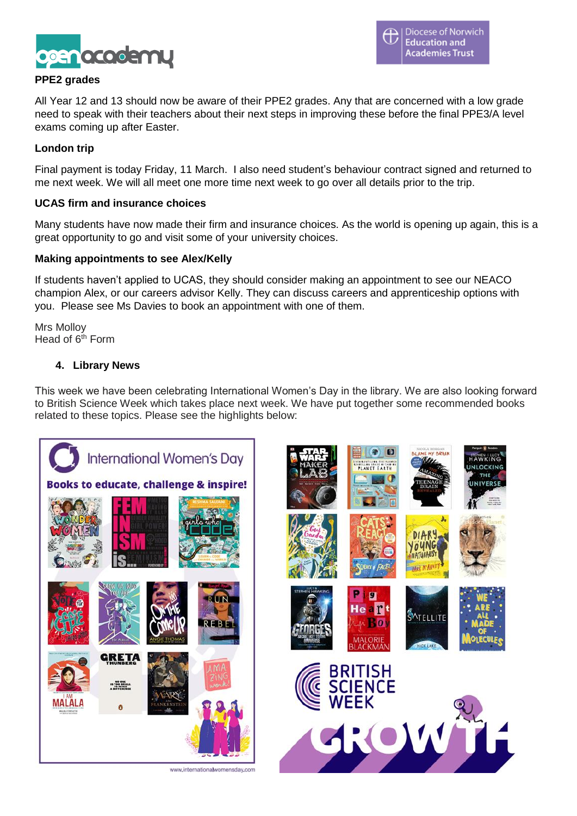

## **PPE2 grades**

All Year 12 and 13 should now be aware of their PPE2 grades. Any that are concerned with a low grade need to speak with their teachers about their next steps in improving these before the final PPE3/A level exams coming up after Easter.

### **London trip**

Final payment is today Friday, 11 March. I also need student's behaviour contract signed and returned to me next week. We will all meet one more time next week to go over all details prior to the trip.

#### **UCAS firm and insurance choices**

Many students have now made their firm and insurance choices. As the world is opening up again, this is a great opportunity to go and visit some of your university choices.

#### **Making appointments to see Alex/Kelly**

If students haven't applied to UCAS, they should consider making an appointment to see our NEACO champion Alex, or our careers advisor Kelly. They can discuss careers and apprenticeship options with you. Please see Ms Davies to book an appointment with one of them.

Mrs Molloy Head of  $6<sup>th</sup>$  Form

## **4. Library News**

This week we have been celebrating International Women's Day in the library. We are also looking forward to British Science Week which takes place next week. We have put together some recommended books related to these topics. Please see the highlights below:

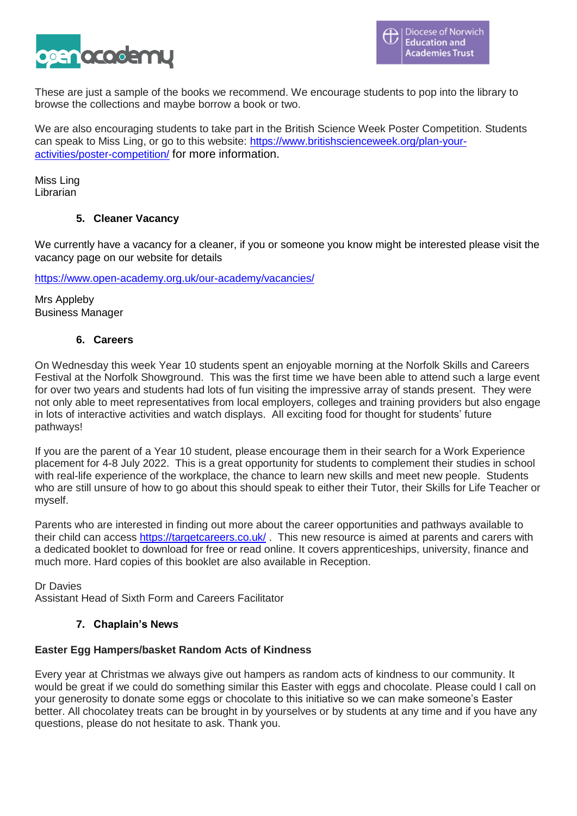

These are just a sample of the books we recommend. We encourage students to pop into the library to browse the collections and maybe borrow a book or two.

We are also encouraging students to take part in the British Science Week Poster Competition. Students can speak to Miss Ling, or go to this website: [https://www.britishscienceweek.org/plan-your](https://www.britishscienceweek.org/plan-your-activities/poster-competition/)[activities/poster-competition/](https://www.britishscienceweek.org/plan-your-activities/poster-competition/) for more information.

Miss Ling Librarian

## **5. Cleaner Vacancy**

We currently have a vacancy for a cleaner, if you or someone you know might be interested please visit the vacancy page on our website for details

<https://www.open-academy.org.uk/our-academy/vacancies/>

Mrs Appleby Business Manager

## **6. Careers**

On Wednesday this week Year 10 students spent an enjoyable morning at the Norfolk Skills and Careers Festival at the Norfolk Showground. This was the first time we have been able to attend such a large event for over two years and students had lots of fun visiting the impressive array of stands present. They were not only able to meet representatives from local employers, colleges and training providers but also engage in lots of interactive activities and watch displays. All exciting food for thought for students' future pathways!

If you are the parent of a Year 10 student, please encourage them in their search for a Work Experience placement for 4-8 July 2022. This is a great opportunity for students to complement their studies in school with real-life experience of the workplace, the chance to learn new skills and meet new people. Students who are still unsure of how to go about this should speak to either their Tutor, their Skills for Life Teacher or myself.

Parents who are interested in finding out more about the career opportunities and pathways available to their child can access <https://targetcareers.co.uk/> . This new resource is aimed at parents and carers with a dedicated booklet to download for free or read online. It covers apprenticeships, university, finance and much more. Hard copies of this booklet are also available in Reception.

Dr Davies

Assistant Head of Sixth Form and Careers Facilitator

## **7. Chaplain's News**

## **Easter Egg Hampers/basket Random Acts of Kindness**

Every year at Christmas we always give out hampers as random acts of kindness to our community. It would be great if we could do something similar this Easter with eggs and chocolate. Please could I call on your generosity to donate some eggs or chocolate to this initiative so we can make someone's Easter better. All chocolatey treats can be brought in by yourselves or by students at any time and if you have any questions, please do not hesitate to ask. Thank you.